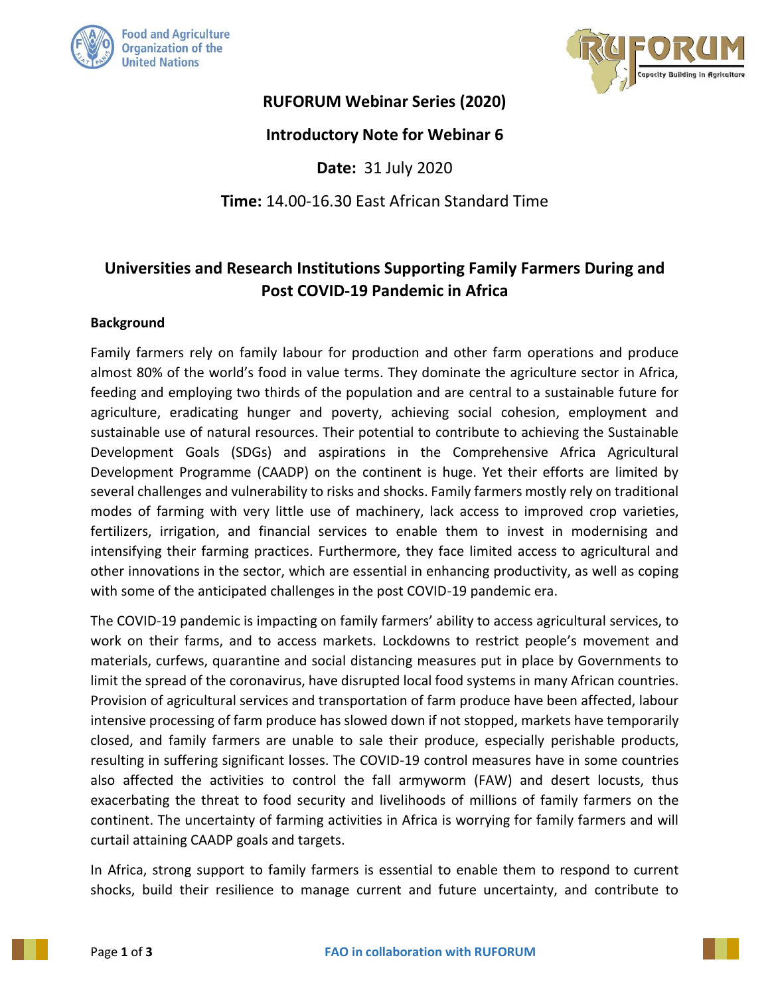



## **RUFORUM Webinar Series (2020)**

### **Introductory Note for Webinar 6**

**Date:** 31 July 2020

**Time:** 14.00-16.30 East African Standard Time

# **Universities and Research Institutions Supporting Family Farmers During and Post COVID-19 Pandemic in Africa**

#### **Background**

Family farmers rely on family labour for production and other farm operations and produce almost 80% of the world's food in value terms. They dominate the agriculture sector in Africa, feeding and employing two thirds of the population and are central to a sustainable future for agriculture, eradicating hunger and poverty, achieving social cohesion, employment and sustainable use of natural resources. Their potential to contribute to achieving the Sustainable Development Goals (SDGs) and aspirations in the Comprehensive Africa Agricultural Development Programme (CAADP) on the continent is huge. Yet their efforts are limited by several challenges and vulnerability to risks and shocks. Family farmers mostly rely on traditional modes of farming with very little use of machinery, lack access to improved crop varieties, fertilizers, irrigation, and financial services to enable them to invest in modernising and intensifying their farming practices. Furthermore, they face limited access to agricultural and other innovations in the sector, which are essential in enhancing productivity, as well as coping with some of the anticipated challenges in the post COVID-19 pandemic era.

The COVID-19 pandemic is impacting on family farmers' ability to access agricultural services, to work on their farms, and to access markets. Lockdowns to restrict people's movement and materials, curfews, quarantine and social distancing measures put in place by Governments to limit the spread of the coronavirus, have disrupted local food systems in many African countries. Provision of agricultural services and transportation of farm produce have been affected, labour intensive processing of farm produce has slowed down if not stopped, markets have temporarily closed, and family farmers are unable to sale their produce, especially perishable products, resulting in suffering significant losses. The COVID-19 control measures have in some countries also affected the activities to control the fall armyworm (FAW) and desert locusts, thus exacerbating the threat to food security and livelihoods of millions of family farmers on the continent. The uncertainty of farming activities in Africa is worrying for family farmers and will curtail attaining CAADP goals and targets.

In Africa, strong support to family farmers is essential to enable them to respond to current shocks, build their resilience to manage current and future uncertainty, and contribute to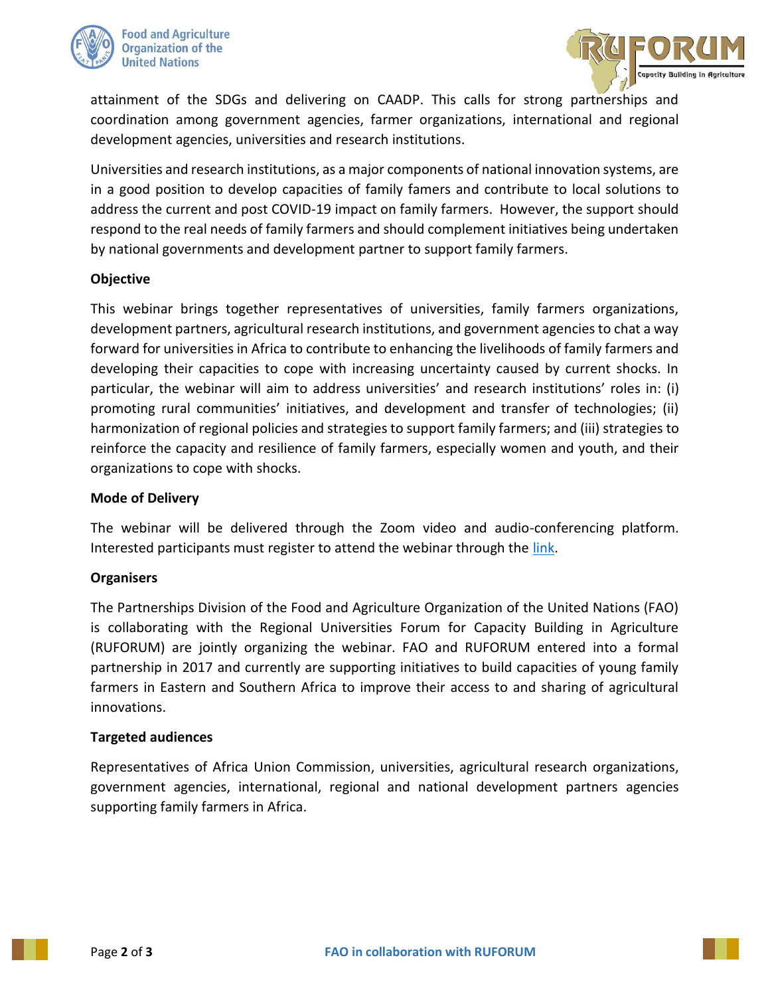



attainment of the SDGs and delivering on CAADP. This calls for strong partnerships and coordination among government agencies, farmer organizations, international and regional development agencies, universities and research institutions.

Universities and research institutions, as a major components of national innovation systems, are in a good position to develop capacities of family famers and contribute to local solutions to address the current and post COVID-19 impact on family farmers. However, the support should respond to the real needs of family farmers and should complement initiatives being undertaken by national governments and development partner to support family farmers.

#### **Objective**

This webinar brings together representatives of universities, family farmers organizations, development partners, agricultural research institutions, and government agencies to chat a way forward for universities in Africa to contribute to enhancing the livelihoods of family farmers and developing their capacities to cope with increasing uncertainty caused by current shocks. In particular, the webinar will aim to address universities' and research institutions' roles in: (i) promoting rural communities' initiatives, and development and transfer of technologies; (ii) harmonization of regional policies and strategies to support family farmers; and (iii) strategies to reinforce the capacity and resilience of family farmers, especially women and youth, and their organizations to cope with shocks.

#### **Mode of Delivery**

The webinar will be delivered through the Zoom video and audio-conferencing platform. Interested participants must register to attend the webinar through the [link.](https://us02web.zoom.us/webinar/register/WN_BJd_B6AZS6KIG566fTxvkA)

#### **Organisers**

The Partnerships Division of the Food and Agriculture Organization of the United Nations (FAO) is collaborating with the Regional Universities Forum for Capacity Building in Agriculture (RUFORUM) are jointly organizing the webinar. FAO and RUFORUM entered into a formal partnership in 2017 and currently are supporting initiatives to build capacities of young family farmers in Eastern and Southern Africa to improve their access to and sharing of agricultural innovations.

#### **Targeted audiences**

Representatives of Africa Union Commission, universities, agricultural research organizations, government agencies, international, regional and national development partners agencies supporting family farmers in Africa.